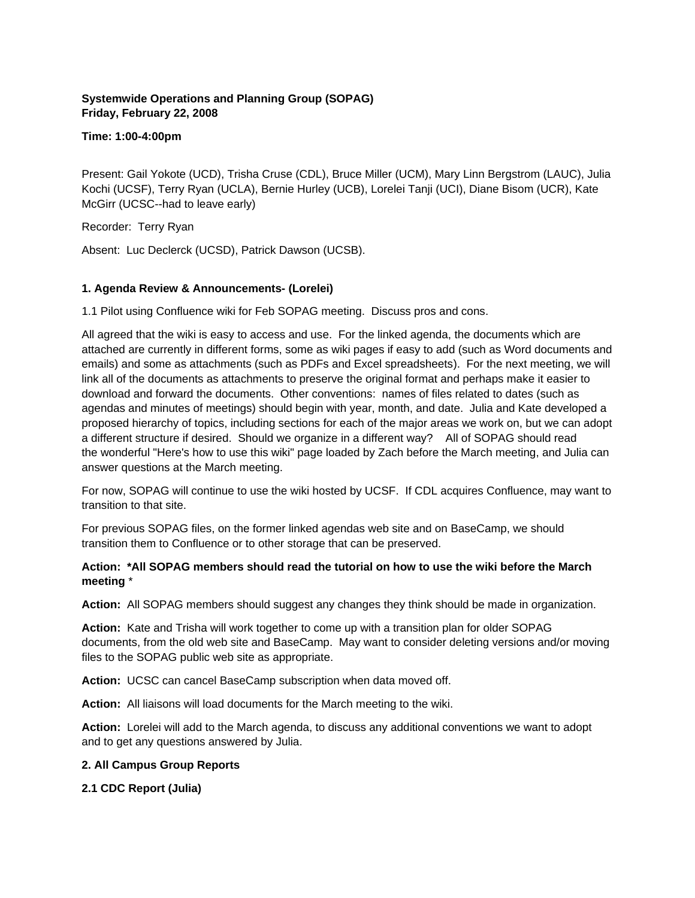# **Systemwide Operations and Planning Group (SOPAG) Friday, February 22, 2008**

#### **Time: 1:00-4:00pm**

Present: Gail Yokote (UCD), Trisha Cruse (CDL), Bruce Miller (UCM), Mary Linn Bergstrom (LAUC), Julia Kochi (UCSF), Terry Ryan (UCLA), Bernie Hurley (UCB), Lorelei Tanji (UCI), Diane Bisom (UCR), Kate McGirr (UCSC--had to leave early)

Recorder: Terry Ryan

Absent: Luc Declerck (UCSD), Patrick Dawson (UCSB).

#### **1. Agenda Review & Announcements- (Lorelei)**

1.1 Pilot using Confluence wiki for Feb SOPAG meeting. Discuss pros and cons.

All agreed that the wiki is easy to access and use. For the linked agenda, the documents which are attached are currently in different forms, some as wiki pages if easy to add (such as Word documents and emails) and some as attachments (such as PDFs and Excel spreadsheets). For the next meeting, we will link all of the documents as attachments to preserve the original format and perhaps make it easier to download and forward the documents. Other conventions: names of files related to dates (such as agendas and minutes of meetings) should begin with year, month, and date. Julia and Kate developed a proposed hierarchy of topics, including sections for each of the major areas we work on, but we can adopt a different structure if desired. Should we organize in a different way? All of SOPAG should read the wonderful "Here's how to use this wiki" page loaded by Zach before the March meeting, and Julia can answer questions at the March meeting.

For now, SOPAG will continue to use the wiki hosted by UCSF. If CDL acquires Confluence, may want to transition to that site.

For previous SOPAG files, on the former linked agendas web site and on BaseCamp, we should transition them to Confluence or to other storage that can be preserved.

#### **Action: \*All SOPAG members should read the tutorial on how to use the wiki before the March meeting** \*

**Action:** All SOPAG members should suggest any changes they think should be made in organization.

**Action:** Kate and Trisha will work together to come up with a transition plan for older SOPAG documents, from the old web site and BaseCamp. May want to consider deleting versions and/or moving files to the SOPAG public web site as appropriate.

**Action:** UCSC can cancel BaseCamp subscription when data moved off.

**Action:** All liaisons will load documents for the March meeting to the wiki.

**Action:** Lorelei will add to the March agenda, to discuss any additional conventions we want to adopt and to get any questions answered by Julia.

#### **2. All Campus Group Reports**

**2.1 CDC Report (Julia)**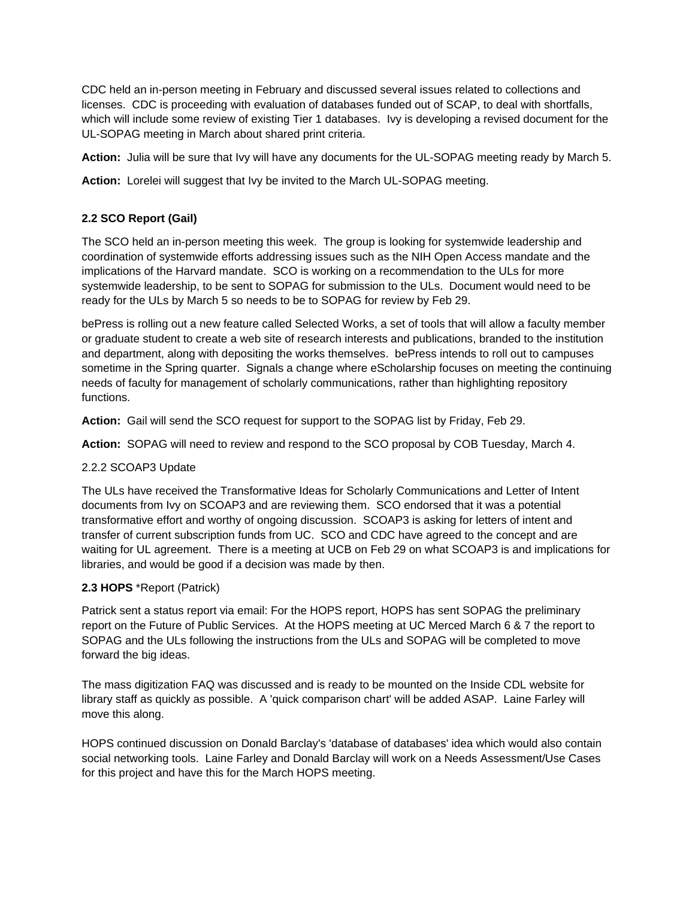CDC held an in-person meeting in February and discussed several issues related to collections and licenses. CDC is proceeding with evaluation of databases funded out of SCAP, to deal with shortfalls, which will include some review of existing Tier 1 databases. Ivy is developing a revised document for the UL-SOPAG meeting in March about shared print criteria.

**Action:** Julia will be sure that Ivy will have any documents for the UL-SOPAG meeting ready by March 5.

**Action:** Lorelei will suggest that Ivy be invited to the March UL-SOPAG meeting.

# **2.2 SCO Report (Gail)**

The SCO held an in-person meeting this week. The group is looking for systemwide leadership and coordination of systemwide efforts addressing issues such as the NIH Open Access mandate and the implications of the Harvard mandate. SCO is working on a recommendation to the ULs for more systemwide leadership, to be sent to SOPAG for submission to the ULs. Document would need to be ready for the ULs by March 5 so needs to be to SOPAG for review by Feb 29.

bePress is rolling out a new feature called Selected Works, a set of tools that will allow a faculty member or graduate student to create a web site of research interests and publications, branded to the institution and department, along with depositing the works themselves. bePress intends to roll out to campuses sometime in the Spring quarter. Signals a change where eScholarship focuses on meeting the continuing needs of faculty for management of scholarly communications, rather than highlighting repository functions.

**Action:** Gail will send the SCO request for support to the SOPAG list by Friday, Feb 29.

**Action:** SOPAG will need to review and respond to the SCO proposal by COB Tuesday, March 4.

#### 2.2.2 SCOAP3 Update

The ULs have received the Transformative Ideas for Scholarly Communications and Letter of Intent documents from Ivy on SCOAP3 and are reviewing them. SCO endorsed that it was a potential transformative effort and worthy of ongoing discussion. SCOAP3 is asking for letters of intent and transfer of current subscription funds from UC. SCO and CDC have agreed to the concept and are waiting for UL agreement. There is a meeting at UCB on Feb 29 on what SCOAP3 is and implications for libraries, and would be good if a decision was made by then.

#### **2.3 HOPS** \*Report (Patrick)

Patrick sent a status report via email: For the HOPS report, HOPS has sent SOPAG the preliminary report on the Future of Public Services. At the HOPS meeting at UC Merced March 6 & 7 the report to SOPAG and the ULs following the instructions from the ULs and SOPAG will be completed to move forward the big ideas.

The mass digitization FAQ was discussed and is ready to be mounted on the Inside CDL website for library staff as quickly as possible. A 'quick comparison chart' will be added ASAP. Laine Farley will move this along.

HOPS continued discussion on Donald Barclay's 'database of databases' idea which would also contain social networking tools. Laine Farley and Donald Barclay will work on a Needs Assessment/Use Cases for this project and have this for the March HOPS meeting.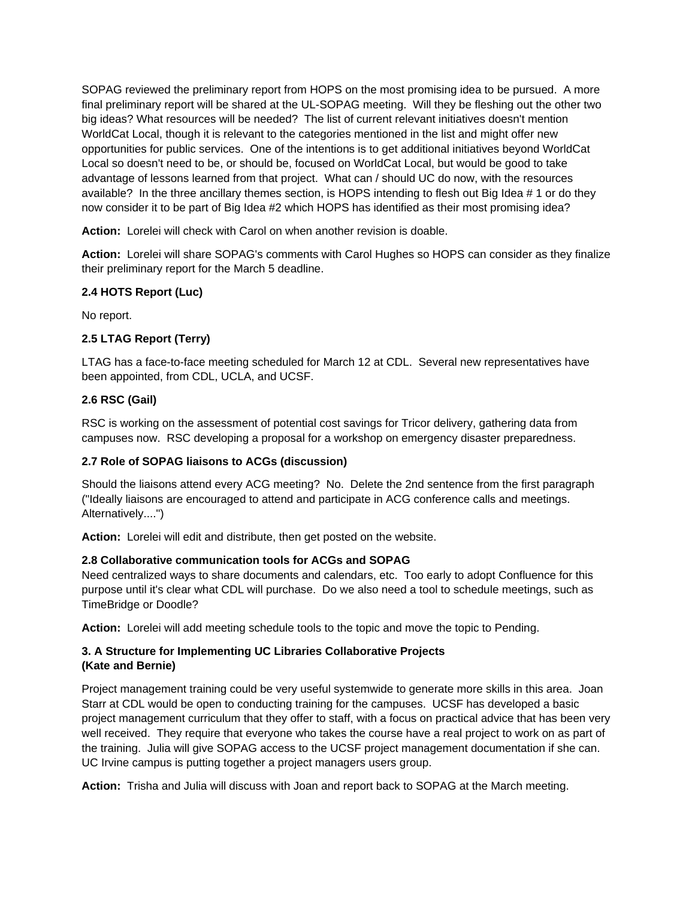SOPAG reviewed the preliminary report from HOPS on the most promising idea to be pursued. A more final preliminary report will be shared at the UL-SOPAG meeting. Will they be fleshing out the other two big ideas? What resources will be needed? The list of current relevant initiatives doesn't mention WorldCat Local, though it is relevant to the categories mentioned in the list and might offer new opportunities for public services. One of the intentions is to get additional initiatives beyond WorldCat Local so doesn't need to be, or should be, focused on WorldCat Local, but would be good to take advantage of lessons learned from that project. What can / should UC do now, with the resources available? In the three ancillary themes section, is HOPS intending to flesh out Big Idea # 1 or do they now consider it to be part of Big Idea #2 which HOPS has identified as their most promising idea?

**Action:** Lorelei will check with Carol on when another revision is doable.

**Action:** Lorelei will share SOPAG's comments with Carol Hughes so HOPS can consider as they finalize their preliminary report for the March 5 deadline.

# **2.4 HOTS Report (Luc)**

No report.

# **2.5 LTAG Report (Terry)**

LTAG has a face-to-face meeting scheduled for March 12 at CDL. Several new representatives have been appointed, from CDL, UCLA, and UCSF.

# **2.6 RSC (Gail)**

RSC is working on the assessment of potential cost savings for Tricor delivery, gathering data from campuses now. RSC developing a proposal for a workshop on emergency disaster preparedness.

# **2.7 Role of SOPAG liaisons to ACGs (discussion)**

Should the liaisons attend every ACG meeting? No. Delete the 2nd sentence from the first paragraph ("Ideally liaisons are encouraged to attend and participate in ACG conference calls and meetings. Alternatively....")

**Action:** Lorelei will edit and distribute, then get posted on the website.

### **2.8 Collaborative communication tools for ACGs and SOPAG**

Need centralized ways to share documents and calendars, etc. Too early to adopt Confluence for this purpose until it's clear what CDL will purchase. Do we also need a tool to schedule meetings, such as TimeBridge or Doodle?

**Action:** Lorelei will add meeting schedule tools to the topic and move the topic to Pending.

# **3. A Structure for Implementing UC Libraries Collaborative Projects (Kate and Bernie)**

Project management training could be very useful systemwide to generate more skills in this area. Joan Starr at CDL would be open to conducting training for the campuses. UCSF has developed a basic project management curriculum that they offer to staff, with a focus on practical advice that has been very well received. They require that everyone who takes the course have a real project to work on as part of the training. Julia will give SOPAG access to the UCSF project management documentation if she can. UC Irvine campus is putting together a project managers users group.

**Action:** Trisha and Julia will discuss with Joan and report back to SOPAG at the March meeting.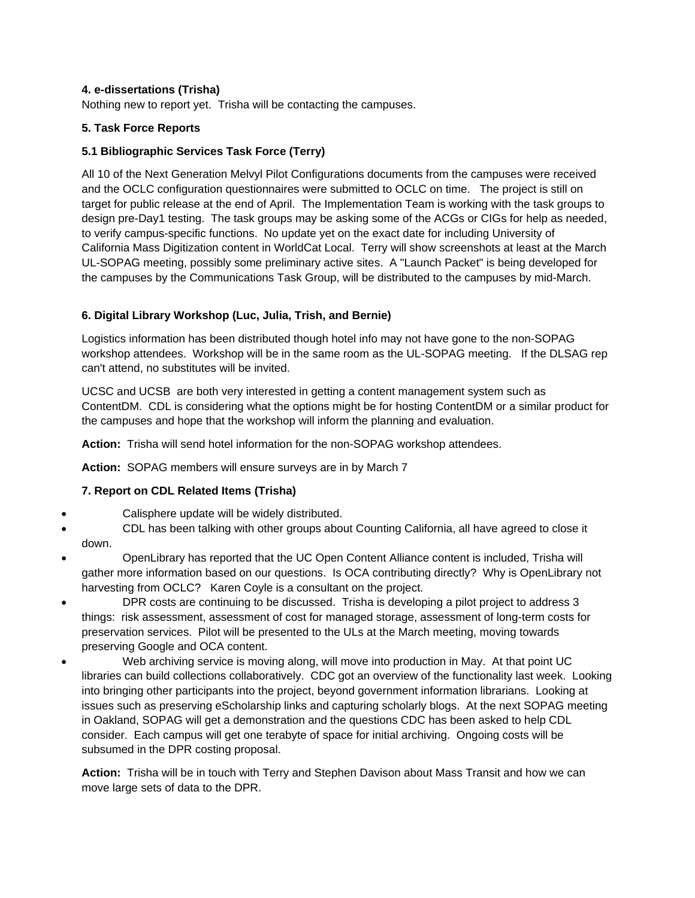### **4. e-dissertations (Trisha)**

Nothing new to report yet. Trisha will be contacting the campuses.

# **5. Task Force Reports**

# **5.1 Bibliographic Services Task Force (Terry)**

All 10 of the Next Generation Melvyl Pilot Configurations documents from the campuses were received and the OCLC configuration questionnaires were submitted to OCLC on time. The project is still on target for public release at the end of April. The Implementation Team is working with the task groups to design pre-Day1 testing. The task groups may be asking some of the ACGs or CIGs for help as needed, to verify campus-specific functions. No update yet on the exact date for including University of California Mass Digitization content in WorldCat Local. Terry will show screenshots at least at the March UL-SOPAG meeting, possibly some preliminary active sites. A "Launch Packet" is being developed for the campuses by the Communications Task Group, will be distributed to the campuses by mid-March.

# **6. Digital Library Workshop (Luc, Julia, Trish, and Bernie)**

Logistics information has been distributed though hotel info may not have gone to the non-SOPAG workshop attendees. Workshop will be in the same room as the UL-SOPAG meeting. If the DLSAG rep can't attend, no substitutes will be invited.

UCSC and UCSB are both very interested in getting a content management system such as ContentDM. CDL is considering what the options might be for hosting ContentDM or a similar product for the campuses and hope that the workshop will inform the planning and evaluation.

**Action:** Trisha will send hotel information for the non-SOPAG workshop attendees.

**Action:** SOPAG members will ensure surveys are in by March 7

# **7. Report on CDL Related Items (Trisha)**

- Calisphere update will be widely distributed.
- CDL has been talking with other groups about Counting California, all have agreed to close it down.
- OpenLibrary has reported that the UC Open Content Alliance content is included, Trisha will gather more information based on our questions. Is OCA contributing directly? Why is OpenLibrary not harvesting from OCLC? Karen Coyle is a consultant on the project.
- DPR costs are continuing to be discussed. Trisha is developing a pilot project to address 3 things: risk assessment, assessment of cost for managed storage, assessment of long-term costs for preservation services. Pilot will be presented to the ULs at the March meeting, moving towards preserving Google and OCA content.
- Web archiving service is moving along, will move into production in May. At that point UC libraries can build collections collaboratively. CDC got an overview of the functionality last week. Looking into bringing other participants into the project, beyond government information librarians. Looking at issues such as preserving eScholarship links and capturing scholarly blogs. At the next SOPAG meeting in Oakland, SOPAG will get a demonstration and the questions CDC has been asked to help CDL consider. Each campus will get one terabyte of space for initial archiving. Ongoing costs will be subsumed in the DPR costing proposal.

**Action:** Trisha will be in touch with Terry and Stephen Davison about Mass Transit and how we can move large sets of data to the DPR.